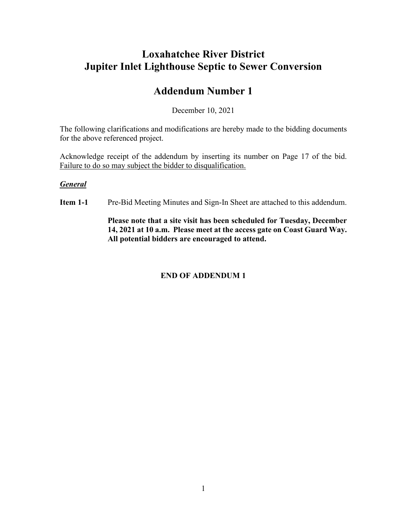### **Loxahatchee River District Jupiter Inlet Lighthouse Septic to Sewer Conversion**

### **Addendum Number 1**

December 10, 2021

The following clarifications and modifications are hereby made to the bidding documents for the above referenced project.

Acknowledge receipt of the addendum by inserting its number on Page 17 of the bid. Failure to do so may subject the bidder to disqualification.

#### *General*

**Item 1-1** Pre-Bid Meeting Minutes and Sign-In Sheet are attached to this addendum.

**Please note that a site visit has been scheduled for Tuesday, December 14, 2021 at 10 a.m. Please meet at the access gate on Coast Guard Way. All potential bidders are encouraged to attend.**

### **END OF ADDENDUM 1**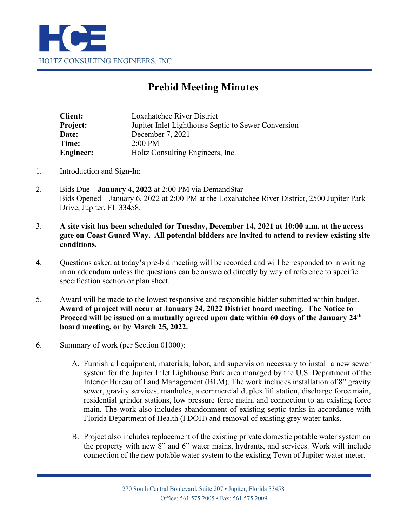

## **Prebid Meeting Minutes**

| <b>Client:</b>   | Loxahatchee River District                          |
|------------------|-----------------------------------------------------|
| Project:         | Jupiter Inlet Lighthouse Septic to Sewer Conversion |
| Date:            | December 7, 2021                                    |
| Time:            | $2:00 \text{ PM}$                                   |
| <b>Engineer:</b> | Holtz Consulting Engineers, Inc.                    |

- 1. Introduction and Sign-In:
- 2. Bids Due **January 4, 2022** at 2:00 PM via DemandStar Bids Opened – January 6, 2022 at 2:00 PM at the Loxahatchee River District, 2500 Jupiter Park Drive, Jupiter, FL 33458.
- 3. **A site visit has been scheduled for Tuesday, December 14, 2021 at 10:00 a.m. at the access gate on Coast Guard Way. All potential bidders are invited to attend to review existing site conditions.**
- 4. Questions asked at today's pre-bid meeting will be recorded and will be responded to in writing in an addendum unless the questions can be answered directly by way of reference to specific specification section or plan sheet.
- 5. Award will be made to the lowest responsive and responsible bidder submitted within budget. **Award of project will occur at January 24, 2022 District board meeting. The Notice to Proceed will be issued on a mutually agreed upon date within 60 days of the January 24th board meeting, or by March 25, 2022.**
- 6. Summary of work (per Section 01000):
	- A. Furnish all equipment, materials, labor, and supervision necessary to install a new sewer system for the Jupiter Inlet Lighthouse Park area managed by the U.S. Department of the Interior Bureau of Land Management (BLM). The work includes installation of 8" gravity sewer, gravity services, manholes, a commercial duplex lift station, discharge force main, residential grinder stations, low pressure force main, and connection to an existing force main. The work also includes abandonment of existing septic tanks in accordance with Florida Department of Health (FDOH) and removal of existing grey water tanks.
	- B. Project also includes replacement of the existing private domestic potable water system on the property with new 8" and 6" water mains, hydrants, and services. Work will include connection of the new potable water system to the existing Town of Jupiter water meter.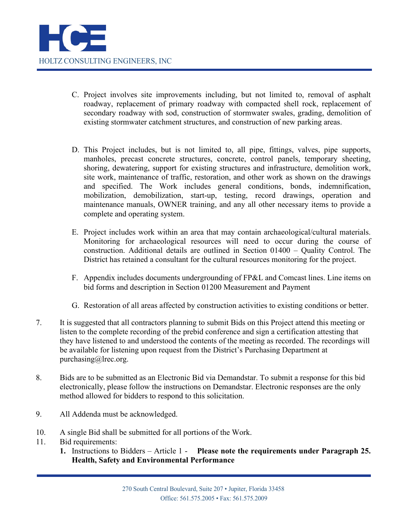- C. Project involves site improvements including, but not limited to, removal of asphalt roadway, replacement of primary roadway with compacted shell rock, replacement of secondary roadway with sod, construction of stormwater swales, grading, demolition of existing stormwater catchment structures, and construction of new parking areas.
- D. This Project includes, but is not limited to, all pipe, fittings, valves, pipe supports, manholes, precast concrete structures, concrete, control panels, temporary sheeting, shoring, dewatering, support for existing structures and infrastructure, demolition work, site work, maintenance of traffic, restoration, and other work as shown on the drawings and specified. The Work includes general conditions, bonds, indemnification, mobilization, demobilization, start-up, testing, record drawings, operation and maintenance manuals, OWNER training, and any all other necessary items to provide a complete and operating system.
- E. Project includes work within an area that may contain archaeological/cultural materials. Monitoring for archaeological resources will need to occur during the course of construction. Additional details are outlined in Section 01400 – Quality Control. The District has retained a consultant for the cultural resources monitoring for the project.
- F. Appendix includes documents undergrounding of FP&L and Comcast lines. Line items on bid forms and description in Section 01200 Measurement and Payment
- G. Restoration of all areas affected by construction activities to existing conditions or better.
- 7. It is suggested that all contractors planning to submit Bids on this Project attend this meeting or listen to the complete recording of the prebid conference and sign a certification attesting that they have listened to and understood the contents of the meeting as recorded. The recordings will be available for listening upon request from the District's Purchasing Department at purchasing@lrec.org.
- 8. Bids are to be submitted as an Electronic Bid via Demandstar. To submit a response for this bid electronically, please follow the instructions on Demandstar. Electronic responses are the only method allowed for bidders to respond to this solicitation.
- 9. All Addenda must be acknowledged.
- 10. A single Bid shall be submitted for all portions of the Work.
- 11. Bid requirements:
	- **1.** Instructions to Bidders Article 1 **Please note the requirements under Paragraph 25. Health, Safety and Environmental Performance**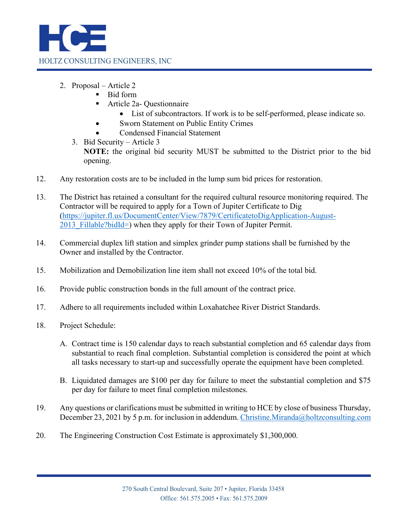

- 2. Proposal Article 2
	- Bid form
	- Article 2a- Questionnaire
		- List of subcontractors. If work is to be self-performed, please indicate so.
		- Sworn Statement on Public Entity Crimes
		- Condensed Financial Statement
	- 3. Bid Security Article 3 **NOTE:** the original bid security MUST be submitted to the District prior to the bid opening.
- 12. Any restoration costs are to be included in the lump sum bid prices for restoration.
- 13. The District has retained a consultant for the required cultural resource monitoring required. The Contractor will be required to apply for a Town of Jupiter Certificate to Dig [\(https://jupiter.fl.us/DocumentCenter/View/7879/CertificatetoDigApplication-August-](https://jupiter.fl.us/DocumentCenter/View/7879/CertificatetoDigApplication-August-2013_Fillable?bidId=)2013 Fillable?bidId=) when they apply for their Town of Jupiter Permit.
- 14. Commercial duplex lift station and simplex grinder pump stations shall be furnished by the Owner and installed by the Contractor.
- 15. Mobilization and Demobilization line item shall not exceed 10% of the total bid.
- 16. Provide public construction bonds in the full amount of the contract price.
- 17. Adhere to all requirements included within Loxahatchee River District Standards.
- 18. Project Schedule:
	- A. Contract time is 150 calendar days to reach substantial completion and 65 calendar days from substantial to reach final completion. Substantial completion is considered the point at which all tasks necessary to start-up and successfully operate the equipment have been completed.
	- B. Liquidated damages are \$100 per day for failure to meet the substantial completion and \$75 per day for failure to meet final completion milestones.
- 19. Any questions or clarifications must be submitted in writing to HCE by close of business Thursday, December 23, 2021 by 5 p.m. for inclusion in addendum. [Christine.Miranda@holtzconsulting.com](mailto:Christine.Miranda@holtzconsulting.com)
- 20. The Engineering Construction Cost Estimate is approximately \$1,300,000.